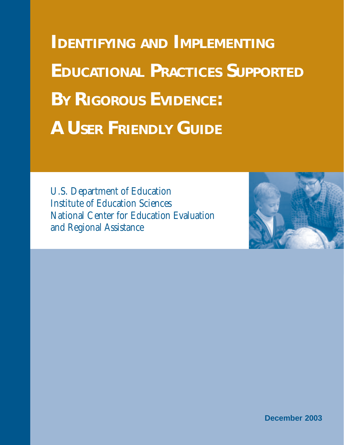**IDENTIFYING AND IMPLEMENTING EDUCATIONAL PRACTICES SUPPORTED BY RIGOROUS EVIDENCE: A USER FRIENDLY GUIDE**

U.S. Department of Education Institute of Education Sciences National Center for Education Evaluation and Regional Assistance



**December 2003**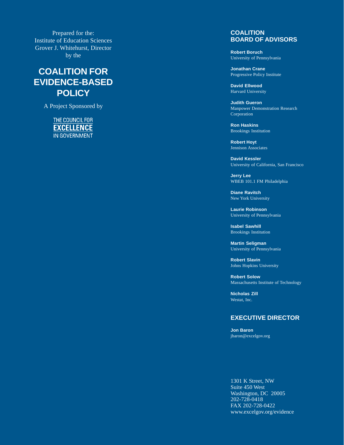Prepared for the: Institute of Education Sciences Grover J. Whitehurst, Director by the

### **COALITION FOR EVIDENCE-BASED POLICY**

A Project Sponsored by

THE COUNCIL FOR **EXCELLENCE IN GOVERNMENT** 

#### **COALITION BOARD OF ADVISORS**

**Robert Boruch** University of Pennsylvania

**Jonathan Crane** Progressive Policy Institute

**David Ellwood** Harvard University

**Judith Gueron** Manpower Demonstration Research Corporation

**Ron Haskins** Brookings Institution

**Robert Hoyt** Jennison Associates

**David Kessler** University of California, San Francisco

**Jerry Lee** WBEB 101.1 FM Philadelphia

**Diane Ravitch** New York University

**Laurie Robinson** University of Pennsylvania

**Isabel Sawhill** Brookings Institution

**Martin Seligman** University of Pennsylvania

**Robert Slavin** Johns Hopkins University

**Robert Solow** Massachusetts Institute of Technology

**Nicholas Zill** Westat, Inc.

#### **EXECUTIVE DIRECTOR**

**Jon Baron** jbaron@excelgov.org

1301 K Street, NW Suite 450 West Washington, DC 20005 202-728-0418 FAX 202-728-0422 www.excelgov.org/evidence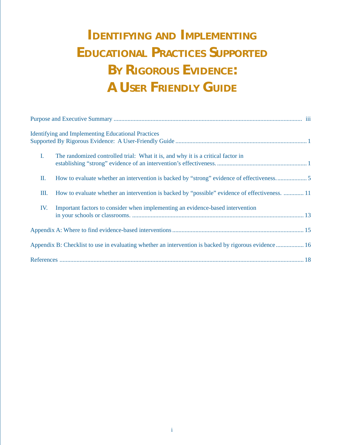# **IDENTIFYING AND IMPLEMENTING EDUCATIONAL PRACTICES SUPPORTED BY RIGOROUS EVIDENCE: A USER FRIENDLY GUIDE**

|     | <b>Identifying and Implementing Educational Practices</b>                                             |
|-----|-------------------------------------------------------------------------------------------------------|
| I.  | The randomized controlled trial: What it is, and why it is a critical factor in                       |
| П.  | How to evaluate whether an intervention is backed by "strong" evidence of effectiveness5              |
| Ш.  | How to evaluate whether an intervention is backed by "possible" evidence of effectiveness.  11        |
| IV. | Important factors to consider when implementing an evidence-based intervention                        |
|     |                                                                                                       |
|     | Appendix B: Checklist to use in evaluating whether an intervention is backed by rigorous evidence  16 |
|     |                                                                                                       |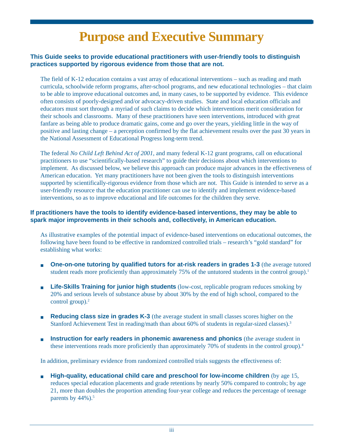## **Purpose and Executive Summary**

#### **This Guide seeks to provide educational practitioners with user-friendly tools to distinguish practices supported by rigorous evidence from those that are not.**

The field of K-12 education contains a vast array of educational interventions – such as reading and math curricula, schoolwide reform programs, after-school programs, and new educational technologies – that claim to be able to improve educational outcomes and, in many cases, to be supported by evidence. This evidence often consists of poorly-designed and/or advocacy-driven studies. State and local education officials and educators must sort through a myriad of such claims to decide which interventions merit consideration for their schools and classrooms. Many of these practitioners have seen interventions, introduced with great fanfare as being able to produce dramatic gains, come and go over the years, yielding little in the way of positive and lasting change – a perception confirmed by the flat achievement results over the past 30 years in the National Assessment of Educational Progress long-term trend.

The federal *No Child Left Behind Act of 2001*, and many federal K-12 grant programs, call on educational practitioners to use "scientifically-based research" to guide their decisions about which interventions to implement. As discussed below, we believe this approach can produce major advances in the effectiveness of American education. Yet many practitioners have not been given the tools to distinguish interventions supported by scientifically-rigorous evidence from those which are not. This Guide is intended to serve as a user-friendly resource that the education practitioner can use to identify and implement evidence-based interventions, so as to improve educational and life outcomes for the children they serve.

#### **If practitioners have the tools to identify evidence-based interventions, they may be able to spark major improvements in their schools and, collectively, in American education.**

As illustrative examples of the potential impact of evidence-based interventions on educational outcomes, the following have been found to be effective in randomized controlled trials – research's "gold standard" for establishing what works:

- **One-on-one tutoring by qualified tutors for at-risk readers in grades 1-3** (the average tutored student reads more proficiently than approximately 75% of the untutored students in the control group).<sup>1</sup>
- **Example: Life-Skills Training for junior high students** (low-cost, replicable program reduces smoking by 20% and serious levels of substance abuse by about 30% by the end of high school, compared to the control group).<sup>2</sup>
- **Reducing class size in grades K-3** (the average student in small classes scores higher on the Stanford Achievement Test in reading/math than about 60% of students in regular-sized classes).<sup>3</sup>
- **Instruction for early readers in phonemic awareness and phonics** (the average student in these interventions reads more proficiently than approximately 70% of students in the control group).<sup>4</sup>

In addition, preliminary evidence from randomized controlled trials suggests the effectiveness of:

■ **High-quality, educational child care and preschool for low-income children** (by age 15, reduces special education placements and grade retentions by nearly 50% compared to controls; by age 21, more than doubles the proportion attending four-year college and reduces the percentage of teenage parents by  $44\%$ ).<sup>5</sup>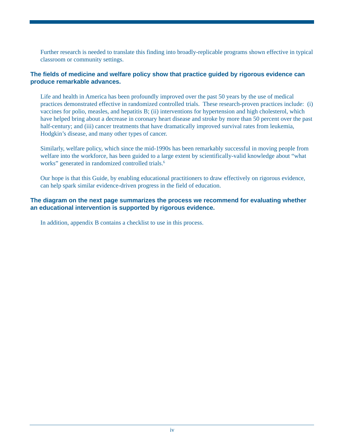Further research is needed to translate this finding into broadly-replicable programs shown effective in typical classroom or community settings.

#### **The fields of medicine and welfare policy show that practice guided by rigorous evidence can produce remarkable advances.**

Life and health in America has been profoundly improved over the past 50 years by the use of medical practices demonstrated effective in randomized controlled trials. These research-proven practices include: (i) vaccines for polio, measles, and hepatitis B; (ii) interventions for hypertension and high cholesterol, which have helped bring about a decrease in coronary heart disease and stroke by more than 50 percent over the past half-century; and (iii) cancer treatments that have dramatically improved survival rates from leukemia, Hodgkin's disease, and many other types of cancer.

Similarly, welfare policy, which since the mid-1990s has been remarkably successful in moving people from welfare into the workforce, has been guided to a large extent by scientifically-valid knowledge about "what works" generated in randomized controlled trials.<sup>6</sup>

Our hope is that this Guide, by enabling educational practitioners to draw effectively on rigorous evidence, can help spark similar evidence-driven progress in the field of education.

#### **The diagram on the next page summarizes the process we recommend for evaluating whether an educational intervention is supported by rigorous evidence.**

In addition, appendix B contains a checklist to use in this process.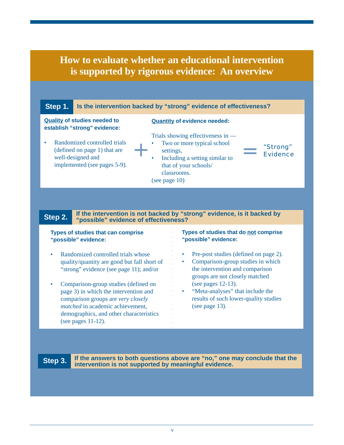

results of such lower-quality studies (see page 13).

**If the answers to both questions above are "no," one may conclude that the i i i intervention is not supported by meaningful evidence.** 

*matched* in academic achievement, demographics, and other characteristics

(see pages 11-12).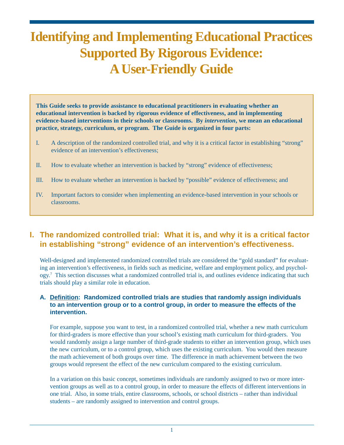## **Identifying and Implementing Educational Practices Supported By Rigorous Evidence: A User-Friendly Guide**

**This Guide seeks to provide assistance to educational practitioners in evaluating whether an educational intervention is backed by rigorous evidence of effectiveness, and in implementing evidence-based interventions in their schools or classrooms. By** *intervention***, we mean an educational practice, strategy, curriculum, or program. The Guide is organized in four parts:**

- I. A description of the randomized controlled trial, and why it is a critical factor in establishing "strong" evidence of an intervention's effectiveness;
- II. How to evaluate whether an intervention is backed by "strong" evidence of effectiveness;
- III. How to evaluate whether an intervention is backed by "possible" evidence of effectiveness; and
- IV. Important factors to consider when implementing an evidence-based intervention in your schools or classrooms.

### **I. The randomized controlled trial: What it is, and why it is a critical factor in establishing "strong" evidence of an intervention's effectiveness.**

Well-designed and implemented randomized controlled trials are considered the "gold standard" for evaluating an intervention's effectiveness, in fields such as medicine, welfare and employment policy, and psychology.7 This section discusses what a randomized controlled trial is, and outlines evidence indicating that such trials should play a similar role in education.

#### **A. Definition: Randomized controlled trials are studies that randomly assign individuals to an intervention group or to a control group, in order to measure the effects of the intervention.**

For example, suppose you want to test, in a randomized controlled trial, whether a new math curriculum for third-graders is more effective than your school's existing math curriculum for third-graders. You would randomly assign a large number of third-grade students to either an intervention group, which uses the new curriculum, or to a control group, which uses the existing curriculum. You would then measure the math achievement of both groups over time. The difference in math achievement between the two groups would represent the effect of the new curriculum compared to the existing curriculum.

In a variation on this basic concept, sometimes individuals are randomly assigned to two or more intervention groups as well as to a control group, in order to measure the effects of different interventions in one trial. Also, in some trials, entire classrooms, schools, or school districts – rather than individual students – are randomly assigned to intervention and control groups.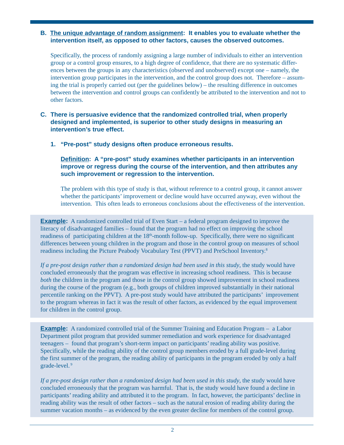#### **B. The unique advantage of random assignment: It enables you to evaluate whether the intervention itself, as opposed to other factors, causes the observed outcomes.**

Specifically, the process of randomly assigning a large number of individuals to either an intervention group or a control group ensures, to a high degree of confidence, that there are no systematic differences between the groups in any characteristics (observed and unobserved) except one – namely, the intervention group participates in the intervention, and the control group does not. Therefore – assuming the trial is properly carried out (per the guidelines below) – the resulting difference in outcomes between the intervention and control groups can confidently be attributed to the intervention and not to other factors.

#### **C. There is persuasive evidence that the randomized controlled trial, when properly designed and implemented, is superior to other study designs in measuring an intervention's true effect.**

**1. "Pre-post" study designs often produce erroneous results.**

#### **Definition: A "pre-post" study examines whether participants in an intervention improve or regress during the course of the intervention, and then attributes any such improvement or regression to the intervention.**

The problem with this type of study is that, without reference to a control group, it cannot answer whether the participants' improvement or decline would have occurred anyway, even without the intervention. This often leads to erroneous conclusions about the effectiveness of the intervention.

**Example:** A randomized controlled trial of Even Start – a federal program designed to improve the literacy of disadvantaged families – found that the program had no effect on improving the school readiness of participating children at the 18th-month follow-up. Specifically, there were no significant differences between young children in the program and those in the control group on measures of school readiness including the Picture Peabody Vocabulary Test (PPVT) and PreSchool Inventory.8

*If a pre-post design rather than a randomized design had been used in this study*, the study would have concluded erroneously that the program was effective in increasing school readiness. This is because *both* the children in the program and those in the control group showed improvement in school readiness during the course of the program (e.g., both groups of children improved substantially in their national percentile ranking on the PPVT). A pre-post study would have attributed the participants' improvement to the program whereas in fact it was the result of other factors, as evidenced by the equal improvement for children in the control group.

**Example:** A randomized controlled trial of the Summer Training and Education Program – a Labor Department pilot program that provided summer remediation and work experience for disadvantaged teenagers – found that program's short-term impact on participants' reading ability was positive. Specifically, while the reading ability of the control group members eroded by a full grade-level during the first summer of the program, the reading ability of participants in the program eroded by only a half grade-level.<sup>9</sup>

*If a pre-post design rather than a randomized design had been used in this study*, the study would have concluded erroneously that the program was harmful. That is, the study would have found a decline in participants' reading ability and attributed it to the program. In fact, however, the participants' decline in reading ability was the result of other factors – such as the natural erosion of reading ability during the summer vacation months – as evidenced by the even greater decline for members of the control group.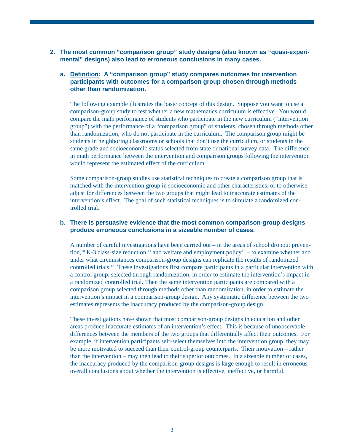#### **2. The most common "comparison group" study designs (also known as "quasi-experimental" designs) also lead to erroneous conclusions in many cases.**

#### **a. Definition: A "comparison group" study compares outcomes for intervention participants with outcomes for a comparison group chosen through methods other than randomization.**

The following example illustrates the basic concept of this design. Suppose you want to use a comparison-group study to test whether a new mathematics curriculum is effective. You would compare the math performance of students who participate in the new curriculum ("intervention group") with the performance of a "comparison group" of students, chosen through methods other than randomization, who do not participate in the curriculum. The comparison group might be students in neighboring classrooms or schools that don't use the curriculum, or students in the same grade and socioeconomic status selected from state or national survey data. The difference in math performance between the intervention and comparison groups following the intervention would represent the estimated effect of the curriculum.

Some comparison-group studies use statistical techniques to create a comparison group that is matched with the intervention group in socioeconomic and other characteristics, or to otherwise adjust for differences between the two groups that might lead to inaccurate estimates of the intervention's effect. The goal of such statistical techniques is to simulate a randomized controlled trial.

#### **b. There is persuasive evidence that the most common comparison-group designs produce erroneous conclusions in a sizeable number of cases.**

A number of careful investigations have been carried out – in the areas of school dropout prevention,<sup>10</sup> K-3 class-size reduction,<sup>11</sup> and welfare and employment policy<sup>12</sup> – to examine whether and under what circumstances comparison-group designs can replicate the results of randomized controlled trials.13 These investigations first compare participants in a particular intervention with a control group, selected through randomization, in order to estimate the intervention's impact in a randomized controlled trial. Then the same intervention participants are compared with a comparison group selected through methods other than randomization, in order to estimate the intervention's impact in a comparison-group design. Any systematic difference between the two estimates represents the inaccuracy produced by the comparison-group design.

These investigations have shown that most comparison-group designs in education and other areas produce inaccurate estimates of an intervention's effect. This is because of unobservable differences between the members of the two groups that differentially affect their outcomes. For example, if intervention participants self-select themselves into the intervention group, they may be more motivated to succeed than their control-group counterparts. Their motivation – rather than the intervention – may then lead to their superior outcomes. In a sizeable number of cases, the inaccuracy produced by the comparison-group designs is large enough to result in erroneous overall conclusions about whether the intervention is effective, ineffective, or harmful.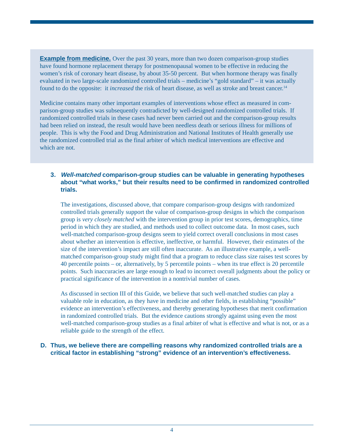**Example from medicine.** Over the past 30 years, more than two dozen comparison-group studies have found hormone replacement therapy for postmenopausal women to be effective in reducing the women's risk of coronary heart disease, by about 35-50 percent. But when hormone therapy was finally evaluated in two large-scale randomized controlled trials – medicine's "gold standard" – it was actually found to do the opposite: it *increased* the risk of heart disease, as well as stroke and breast cancer.14

Medicine contains many other important examples of interventions whose effect as measured in comparison-group studies was subsequently contradicted by well-designed randomized controlled trials. If randomized controlled trials in these cases had never been carried out and the comparison-group results had been relied on instead, the result would have been needless death or serious illness for millions of people. This is why the Food and Drug Administration and National Institutes of Health generally use the randomized controlled trial as the final arbiter of which medical interventions are effective and which are not.

#### **3. Well-matched comparison-group studies can be valuable in generating hypotheses about "what works," but their results need to be confirmed in randomized controlled trials.**

The investigations, discussed above, that compare comparison-group designs with randomized controlled trials generally support the value of comparison-group designs in which the comparison group is *very closely matched* with the intervention group in prior test scores, demographics, time period in which they are studied, and methods used to collect outcome data. In most cases, such well-matched comparison-group designs seem to yield correct overall conclusions in most cases about whether an intervention is effective, ineffective, or harmful. However, their estimates of the size of the intervention's impact are still often inaccurate. As an illustrative example, a wellmatched comparison-group study might find that a program to reduce class size raises test scores by 40 percentile points – or, alternatively, by 5 percentile points – when its true effect is 20 percentile points. Such inaccuracies are large enough to lead to incorrect overall judgments about the policy or practical significance of the intervention in a nontrivial number of cases.

As discussed in section III of this Guide, we believe that such well-matched studies can play a valuable role in education, as they have in medicine and other fields, in establishing "possible" evidence an intervention's effectiveness, and thereby generating hypotheses that merit confirmation in randomized controlled trials. But the evidence cautions strongly against using even the most well-matched comparison-group studies as a final arbiter of what is effective and what is not, or as a reliable guide to the strength of the effect.

#### **D. Thus, we believe there are compelling reasons why randomized controlled trials are a critical factor in establishing "strong" evidence of an intervention's effectiveness.**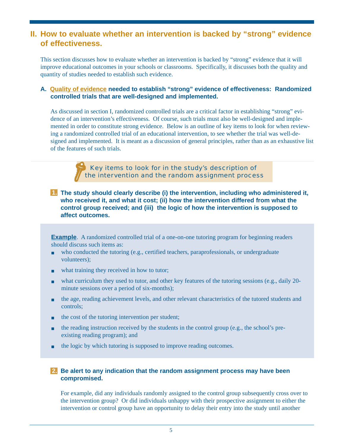### **II. How to evaluate whether an intervention is backed by "strong" evidence of effectiveness.**

This section discusses how to evaluate whether an intervention is backed by "strong" evidence that it will improve educational outcomes in your schools or classrooms. Specifically, it discusses both the quality and quantity of studies needed to establish such evidence.

#### **A. Quality of evidence needed to establish "strong" evidence of effectiveness: Randomized controlled trials that are well-designed and implemented.**

As discussed in section I, randomized controlled trials are a critical factor in establishing "strong" evidence of an intervention's effectiveness. Of course, such trials must also be well-designed and implemented in order to constitute strong evidence. Below is an outline of key items to look for when reviewing a randomized controlled trial of an educational intervention, to see whether the trial was well-designed and implemented. It is meant as a discussion of general principles, rather than as an exhaustive list of the features of such trials.



Key items to look for in the study's description of the intervention and the random assignment process

**The study should clearly describe (i) the intervention, including who administered it, 1. who received it, and what it cost; (ii) how the intervention differed from what the control group received; and (iii) the logic of how the intervention is supposed to affect outcomes.**

**Example.** A randomized controlled trial of a one-on-one tutoring program for beginning readers should discuss such items as:

- who conducted the tutoring (e.g., certified teachers, paraprofessionals, or undergraduate volunteers);
- what training they received in how to tutor;
- what curriculum they used to tutor, and other key features of the tutoring sessions (e.g., daily 20minute sessions over a period of six-months);
- the age, reading achievement levels, and other relevant characteristics of the tutored students and controls;
- the cost of the tutoring intervention per student;
- the reading instruction received by the students in the control group (e.g., the school's preexisting reading program); and
- the logic by which tutoring is supposed to improve reading outcomes.

#### **Be alert to any indication that the random assignment process may have been 2. compromised.**

For example, did any individuals randomly assigned to the control group subsequently cross over to the intervention group? Or did individuals unhappy with their prospective assignment to either the intervention or control group have an opportunity to delay their entry into the study until another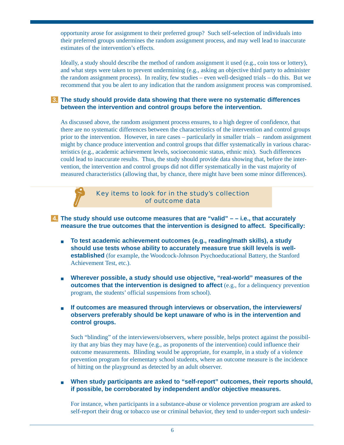opportunity arose for assignment to their preferred group? Such self-selection of individuals into their preferred groups undermines the random assignment process, and may well lead to inaccurate estimates of the intervention's effects.

Ideally, a study should describe the method of random assignment it used (e.g., coin toss or lottery), and what steps were taken to prevent undermining (e.g., asking an objective third party to administer the random assignment process). In reality, few studies – even well-designed trials – do this. But we recommend that you be alert to any indication that the random assignment process was compromised.

#### **The study should provide data showing that there were no systematic differences 3. between the intervention and control groups before the intervention.**

As discussed above, the random assignment process ensures, to a high degree of confidence, that there are no systematic differences between the characteristics of the intervention and control groups prior to the intervention. However, in rare cases – particularly in smaller trials – random assignment might by chance produce intervention and control groups that differ systematically in various characteristics (e.g., academic achievement levels, socioeconomic status, ethnic mix). Such differences could lead to inaccurate results. Thus, the study should provide data showing that, before the intervention, the intervention and control groups did not differ systematically in the vast majority of measured characteristics (allowing that, by chance, there might have been some minor differences).



Key items to look for in the study's collection of outcome data

- **The study should use outcome measures that are "valid" – i.e., that accurately 4. measure the true outcomes that the intervention is designed to affect. Specifically:**
	- **To test academic achievement outcomes (e.g., reading/math skills), a study should use tests whose ability to accurately measure true skill levels is wellestablished** (for example, the Woodcock-Johnson Psychoeducational Battery, the Stanford Achievement Test, etc.).
	- Wherever possible, a study should use objective, "real-world" measures of the **outcomes that the intervention is designed to affect** (e.g., for a delinquency prevention program, the students' official suspensions from school).
	- **If outcomes are measured through interviews or observation, the interviewers/ observers preferably should be kept unaware of who is in the intervention and control groups.**

Such "blinding" of the interviewers/observers, where possible, helps protect against the possibility that any bias they may have (e.g., as proponents of the intervention) could influence their outcome measurements. Blinding would be appropriate, for example, in a study of a violence prevention program for elementary school students, where an outcome measure is the incidence of hitting on the playground as detected by an adult observer.

■ When study participants are asked to "self-report" outcomes, their reports should, **if possible, be corroborated by independent and/or objective measures.**

For instance, when participants in a substance-abuse or violence prevention program are asked to self-report their drug or tobacco use or criminal behavior, they tend to under-report such undesir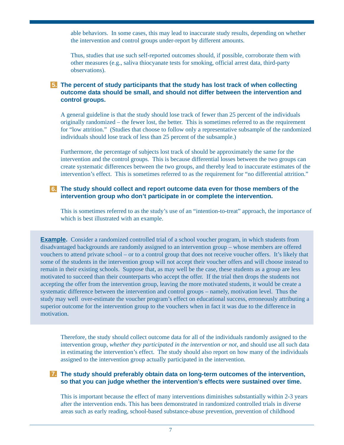able behaviors. In some cases, this may lead to inaccurate study results, depending on whether the intervention and control groups under-report by different amounts.

Thus, studies that use such self-reported outcomes should, if possible, corroborate them with other measures (e.g., saliva thiocyanate tests for smoking, official arrest data, third-party observations).

#### **The percent of study participants that the study has lost track of when collecting 5. outcome data should be small, and should not differ between the intervention and control groups.**

A general guideline is that the study should lose track of fewer than 25 percent of the individuals originally randomized – the fewer lost, the better. This is sometimes referred to as the requirement for "low attrition." (Studies that choose to follow only a representative subsample of the randomized individuals should lose track of less than 25 percent of the subsample.)

Furthermore, the percentage of subjects lost track of should be approximately the same for the intervention and the control groups. This is because differential losses between the two groups can create systematic differences between the two groups, and thereby lead to inaccurate estimates of the intervention's effect. This is sometimes referred to as the requirement for "no differential attrition."

#### **The study should collect and report outcome data even for those members of the 6. intervention group who don't participate in or complete the intervention.**

This is sometimes referred to as the study's use of an "intention-to-treat" approach, the importance of which is best illustrated with an example.

**Example.** Consider a randomized controlled trial of a school voucher program, in which students from disadvantaged backgrounds are randomly assigned to an intervention group – whose members are offered vouchers to attend private school – or to a control group that does not receive voucher offers. It's likely that some of the students in the intervention group will not accept their voucher offers and will choose instead to remain in their existing schools. Suppose that, as may well be the case, these students as a group are less motivated to succeed than their counterparts who accept the offer. If the trial then drops the students not accepting the offer from the intervention group, leaving the more motivated students, it would be create a systematic difference between the intervention and control groups – namely, motivation level. Thus the study may well over-estimate the voucher program's effect on educational success, erroneously attributing a superior outcome for the intervention group to the vouchers when in fact it was due to the difference in motivation.

Therefore, the study should collect outcome data for all of the individuals randomly assigned to the intervention group, *whether they participated in the intervention or not*, and should use all such data in estimating the intervention's effect. The study should also report on how many of the individuals assigned to the intervention group actually participated in the intervention.

#### **The study should preferably obtain data on long-term outcomes of the intervention, 7. so that you can judge whether the intervention's effects were sustained over time.**

This is important because the effect of many interventions diminishes substantially within 2-3 years after the intervention ends. This has been demonstrated in randomized controlled trials in diverse areas such as early reading, school-based substance-abuse prevention, prevention of childhood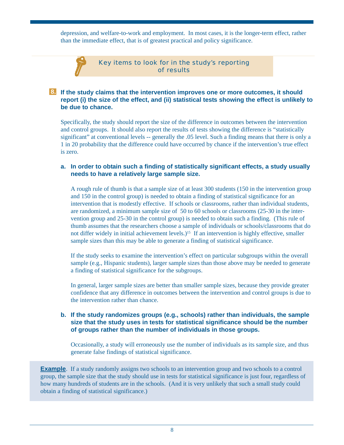depression, and welfare-to-work and employment. In most cases, it is the longer-term effect, rather than the immediate effect, that is of greatest practical and policy significance.



Key items to look for in the study's reporting of results

#### **If the study claims that the intervention improves one or more outcomes, it should 8. report (i) the size of the effect, and (ii) statistical tests showing the effect is unlikely to be due to chance.**

Specifically, the study should report the size of the difference in outcomes between the intervention and control groups. It should also report the results of tests showing the difference is "statistically significant" at conventional levels -- generally the .05 level. Such a finding means that there is only a 1 in 20 probability that the difference could have occurred by chance if the intervention's true effect is zero.

#### **a. In order to obtain such a finding of statistically significant effects, a study usually needs to have a relatively large sample size.**

A rough rule of thumb is that a sample size of at least 300 students (150 in the intervention group and 150 in the control group) is needed to obtain a finding of statistical significance for an intervention that is modestly effective. If schools or classrooms, rather than individual students, are randomized, a minimum sample size of 50 to 60 schools or classrooms (25-30 in the intervention group and 25-30 in the control group) is needed to obtain such a finding. (This rule of thumb assumes that the researchers choose a sample of individuals or schools/classrooms that do not differ widely in initial achievement levels.)<sup>15</sup> If an intervention is highly effective, smaller sample sizes than this may be able to generate a finding of statistical significance.

If the study seeks to examine the intervention's effect on particular subgroups within the overall sample (e.g., Hispanic students), larger sample sizes than those above may be needed to generate a finding of statistical significance for the subgroups.

In general, larger sample sizes are better than smaller sample sizes, because they provide greater confidence that any difference in outcomes between the intervention and control groups is due to the intervention rather than chance.

#### **b. If the study randomizes groups (e.g., schools) rather than individuals, the sample size that the study uses in tests for statistical significance should be the number of groups rather than the number of individuals in those groups.**

Occasionally, a study will erroneously use the number of individuals as its sample size, and thus generate false findings of statistical significance.

**Example**. If a study randomly assigns two schools to an intervention group and two schools to a control group, the sample size that the study should use in tests for statistical significance is just four, regardless of how many hundreds of students are in the schools. (And it is very unlikely that such a small study could obtain a finding of statistical significance.)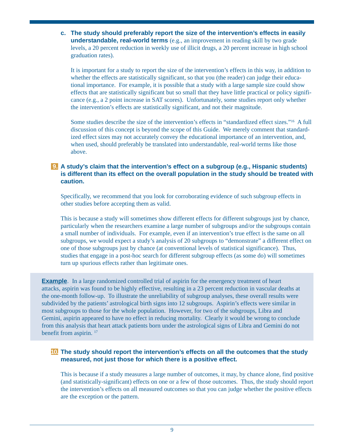**c. The study should preferably report the size of the intervention's effects in easily understandable, real-world terms** (e.g., an improvement in reading skill by two grade levels, a 20 percent reduction in weekly use of illicit drugs, a 20 percent increase in high school graduation rates).

It is important for a study to report the size of the intervention's effects in this way, in addition to whether the effects are statistically significant, so that you (the reader) can judge their educational importance. For example, it is possible that a study with a large sample size could show effects that are statistically significant but so small that they have little practical or policy significance (e.g., a 2 point increase in SAT scores). Unfortunately, some studies report only whether the intervention's effects are statistically significant, and not their magnitude.

Some studies describe the size of the intervention's effects in "standardized effect sizes."<sup>16</sup> A full discussion of this concept is beyond the scope of this Guide. We merely comment that standardized effect sizes may not accurately convey the educational importance of an intervention, and, when used, should preferably be translated into understandable, real-world terms like those above.

#### **A study's claim that the intervention's effect on a subgroup (e.g., Hispanic students) 9. is different than its effect on the overall population in the study should be treated with caution.**

Specifically, we recommend that you look for corroborating evidence of such subgroup effects in other studies before accepting them as valid.

This is because a study will sometimes show different effects for different subgroups just by chance, particularly when the researchers examine a large number of subgroups and/or the subgroups contain a small number of individuals. For example, even if an intervention's true effect is the same on all subgroups, we would expect a study's analysis of 20 subgroups to "demonstrate" a different effect on one of those subgroups just by chance (at conventional levels of statistical significance). Thus, studies that engage in a post-hoc search for different subgroup effects (as some do) will sometimes turn up spurious effects rather than legitimate ones.

**Example**. In a large randomized controlled trial of aspirin for the emergency treatment of heart attacks, aspirin was found to be highly effective, resulting in a 23 percent reduction in vascular deaths at the one-month follow-up. To illustrate the unreliability of subgroup analyses, these overall results were subdivided by the patients' astrological birth signs into 12 subgroups. Aspirin's effects were similar in most subgroups to those for the whole population. However, for two of the subgroups, Libra and Gemini, aspirin appeared to have no effect in reducing mortality. Clearly it would be wrong to conclude from this analysis that heart attack patients born under the astrological signs of Libra and Gemini do not benefit from aspirin. <sup>17</sup>

#### **The study should report the intervention's effects on all the outcomes that the study 10. measured, not just those for which there is a positive effect.**

This is because if a study measures a large number of outcomes, it may, by chance alone, find positive (and statistically-significant) effects on one or a few of those outcomes. Thus, the study should report the intervention's effects on all measured outcomes so that you can judge whether the positive effects are the exception or the pattern.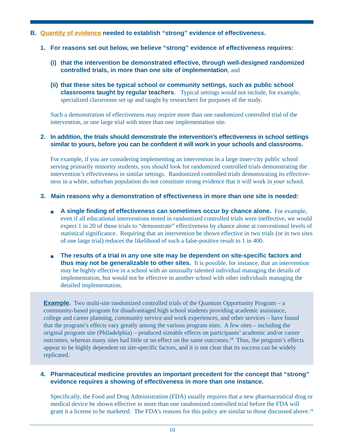**B. Quantity of evidence needed to establish "strong" evidence of effectiveness.**

#### **1. For reasons set out below, we believe "strong" evidence of effectiveness requires:**

- **(i) that the intervention be demonstrated effective, through well-designed randomized controlled trials, in more than one site of implementation**, and
- **(ii) that these sites be typical school or community settings, such as public school classrooms taught by regular teachers**. Typical settings would not include, for example, specialized classrooms set up and taught by researchers for purposes of the study.

Such a demonstration of effectiveness may require more than one randomized controlled trial of the intervention, or one large trial with more than one implementation site.

#### **2. In addition, the trials should demonstrate the intervention's effectiveness in school settings similar to yours, before you can be confident it will work in your schools and classrooms.**

For example, if you are considering implementing an intervention in a large inner-city public school serving primarily minority students, you should look for randomized controlled trials demonstrating the intervention's effectiveness in similar settings. Randomized controlled trials demonstrating its effectiveness in a white, suburban population do not constitute strong evidence that it will work in *your* school.

#### **3. Main reasons why a demonstration of effectiveness in more than one site is needed:**

- **A single finding of effectiveness can sometimes occur by chance alone.** For example, even if all educational interventions tested in randomized controlled trials were ineffective, we would expect 1 in 20 of those trials to "demonstrate" effectiveness by chance alone at conventional levels of statistical significance. Requiring that an intervention be shown effective in two trials (or in two sites of one large trial) reduces the likelihood of such a false-positive result to 1 in 400.
- **The results of a trial in any one site may be dependent on site-specific factors and thus may not be generalizable to other sites.** It is possible, for instance, that an intervention may be highly effective in a school with an unusually talented individual managing the details of implementation, but would not be effective in another school with other individuals managing the detailed implementation.

**Example.** Two multi-site randomized controlled trials of the Quantum Opportunity Program – a community-based program for disadvantaged high school students providing academic assistance, college and career planning, community service and work experiences, and other services – have found that the program's effects vary greatly among the various program sites. A few sites – including the original program site (Philadelphia) – produced sizeable effects on participants' academic and/or career outcomes, whereas many sites had little or no effect on the same outcomes.18 Thus, the program's effects appear to be highly dependent on site-specific factors, and it is not clear that its success can be widely replicated.

#### **4. Pharmaceutical medicine provides an important precedent for the concept that "strong" evidence requires a showing of effectiveness in more than one instance.**

Specifically, the Food and Drug Administration (FDA) usually requires that a new pharmaceutical drug or medical device be shown effective in more than one randomized controlled trial before the FDA will grant it a license to be marketed. The FDA's reasons for this policy are similar to those discussed above.<sup>19</sup>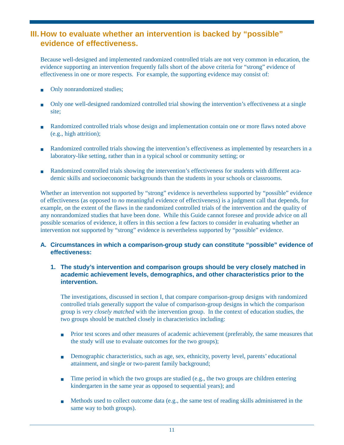### **III. How to evaluate whether an intervention is backed by "possible" evidence of effectiveness.**

Because well-designed and implemented randomized controlled trials are not very common in education, the evidence supporting an intervention frequently falls short of the above criteria for "strong" evidence of effectiveness in one or more respects. For example, the supporting evidence may consist of:

- Only nonrandomized studies;
- Only one well-designed randomized controlled trial showing the intervention's effectiveness at a single site;
- Randomized controlled trials whose design and implementation contain one or more flaws noted above (e.g., high attrition);
- Randomized controlled trials showing the intervention's effectiveness as implemented by researchers in a laboratory-like setting, rather than in a typical school or community setting; or
- Randomized controlled trials showing the intervention's effectiveness for students with different academic skills and socioeconomic backgrounds than the students in your schools or classrooms.

Whether an intervention not supported by "strong" evidence is nevertheless supported by "possible" evidence of effectiveness (as opposed to *no* meaningful evidence of effectiveness) is a judgment call that depends, for example, on the extent of the flaws in the randomized controlled trials of the intervention and the quality of any nonrandomized studies that have been done. While this Guide cannot foresee and provide advice on all possible scenarios of evidence, it offers in this section a few factors to consider in evaluating whether an intervention not supported by "strong" evidence is nevertheless supported by "possible" evidence.

#### **A. Circumstances in which a comparison-group study can constitute "possible" evidence of effectiveness:**

#### **1. The study's intervention and comparison groups should be very closely matched in academic achievement levels, demographics, and other characteristics prior to the intervention.**

The investigations, discussed in section I, that compare comparison-group designs with randomized controlled trials generally support the value of comparison-group designs in which the comparison group is *very closely matched* with the intervention group. In the context of education studies, the two groups should be matched closely in characteristics including:

- Prior test scores and other measures of academic achievement (preferably, the same measures that the study will use to evaluate outcomes for the two groups);
- Demographic characteristics, such as age, sex, ethnicity, poverty level, parents' educational attainment, and single or two-parent family background;
- $\blacksquare$  Time period in which the two groups are studied (e.g., the two groups are children entering kindergarten in the same year as opposed to sequential years); and
- Methods used to collect outcome data (e.g., the same test of reading skills administered in the same way to both groups).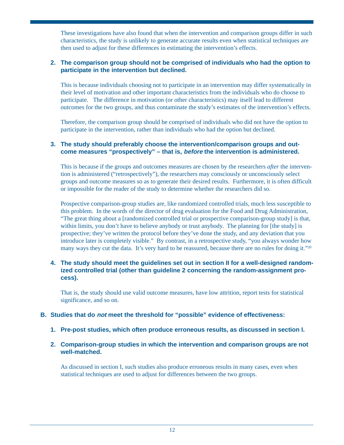These investigations have also found that when the intervention and comparison groups differ in such characteristics, the study is unlikely to generate accurate results even when statistical techniques are then used to adjust for these differences in estimating the intervention's effects.

#### **2. The comparison group should not be comprised of individuals who had the option to participate in the intervention but declined.**

This is because individuals choosing not to participate in an intervention may differ systematically in their level of motivation and other important characteristics from the individuals who do choose to participate. The difference in motivation (or other characteristics) may itself lead to different outcomes for the two groups, and thus contaminate the study's estimates of the intervention's effects.

Therefore, the comparison group should be comprised of individuals who did not have the option to participate in the intervention, rather than individuals who had the option but declined.

#### **3. The study should preferably choose the intervention/comparison groups and outcome measures "prospectively" – that is, before the intervention is administered.**

This is because if the groups and outcomes measures are chosen by the researchers *after* the intervention is administered ("retrospectively"), the researchers may consciously or unconsciously select groups and outcome measures so as to generate their desired results. Furthermore, it is often difficult or impossible for the reader of the study to determine whether the researchers did so.

Prospective comparison-group studies are, like randomized controlled trials, much less susceptible to this problem. In the words of the director of drug evaluation for the Food and Drug Administration, "The great thing about a [randomized controlled trial or prospective comparison-group study] is that, within limits, you don't have to believe anybody or trust anybody. The planning for [the study] is prospective; they've written the protocol before they've done the study, and any deviation that you introduce later is completely visible." By contrast, in a retrospective study, "you always wonder how many ways they cut the data. It's very hard to be reassured, because there are no rules for doing it."20

#### **4. The study should meet the guidelines set out in section II for a well-designed randomized controlled trial (other than guideline 2 concerning the random-assignment process).**

That is, the study should use valid outcome measures, have low attrition, report tests for statistical significance, and so on.

#### **B. Studies that do not meet the threshold for "possible" evidence of effectiveness:**

**1. Pre-post studies, which often produce erroneous results, as discussed in section I.**

#### **2. Comparison-group studies in which the intervention and comparison groups are not well-matched.**

As discussed in section I, such studies also produce erroneous results in many cases, even when statistical techniques are used to adjust for differences between the two groups.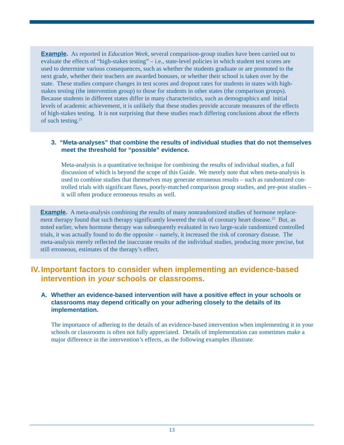**Example.** As reported in *Education Week*, several comparison-group studies have been carried out to evaluate the effects of "high-stakes testing" – i.e., state-level policies in which student test scores are used to determine various consequences, such as whether the students graduate or are promoted to the next grade, whether their teachers are awarded bonuses, or whether their school is taken over by the state. These studies compare changes in test scores and dropout rates for students in states with highstakes testing (the intervention group) to those for students in other states (the comparison groups). Because students in different states differ in many characteristics, such as demographics and initial levels of academic achievement, it is unlikely that these studies provide accurate measures of the effects of high-stakes testing. It is not surprising that these studies reach differing conclusions about the effects of such testing.21

#### **3. "Meta-analyses" that combine the results of individual studies that do not themselves meet the threshold for "possible" evidence.**

Meta-analysis is a quantitative technique for combining the results of individual studies, a full discussion of which is beyond the scope of this Guide. We merely note that when meta-analysis is used to combine studies that themselves may generate erroneous results – such as randomized controlled trials with significant flaws, poorly-matched comparison group studies, and pre-post studies – it will often produce erroneous results as well.

**Example.** A meta-analysis combining the results of many nonrandomized studies of hormone replacement therapy found that such therapy significantly lowered the risk of coronary heart disease.<sup>22</sup> But, as noted earlier, when hormone therapy was subsequently evaluated in two large-scale randomized controlled trials, it was actually found to do the opposite – namely, it increased the risk of coronary disease. The meta-analysis merely reflected the inaccurate results of the individual studies, producing more precise, but still erroneous, estimates of the therapy's effect.

### **IV. Important factors to consider when implementing an evidence-based intervention in your schools or classrooms.**

#### **A. Whether an evidence-based intervention will have a positive effect in your schools or classrooms may depend critically on your adhering closely to the details of its implementation.**

The importance of adhering to the details of an evidence-based intervention when implementing it in your schools or classrooms is often not fully appreciated. Details of implementation can sometimes make a major difference in the intervention's effects, as the following examples illustrate.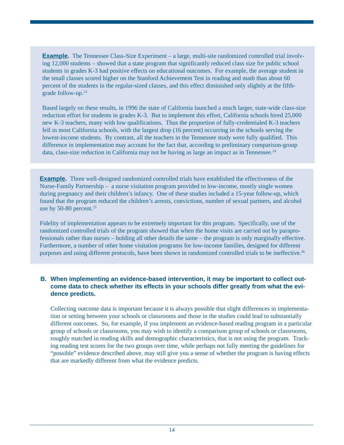**Example.** The Tennessee Class-Size Experiment – a large, multi-site randomized controlled trial involving 12,000 students – showed that a state program that significantly reduced class size for public school students in grades K-3 had positive effects on educational outcomes. For example, the average student in the small classes scored higher on the Stanford Achievement Test in reading and math than about 60 percent of the students in the regular-sized classes, and this effect diminished only slightly at the fifthgrade follow-up.<sup>23</sup>

Based largely on these results, in 1996 the state of California launched a much larger, state-wide class-size reduction effort for students in grades K-3. But to implement this effort, California schools hired 25,000 new K-3 teachers, many with low qualifications. Thus the proportion of fully-credentialed K-3 teachers fell in most California schools, with the largest drop (16 percent) occurring in the schools serving the lowest-income students. By contrast, all the teachers in the Tennessee study were fully qualified. This difference in implementation may account for the fact that, according to preliminary comparison-group data, class-size reduction in California may not be having as large an impact as in Tennessee.<sup>24</sup>

**Example.** Three well-designed randomized controlled trials have established the effectiveness of the Nurse-Family Partnership – a nurse visitation program provided to low-income, mostly single women during pregnancy and their children's infancy. One of these studies included a 15-year follow-up, which found that the program reduced the children's arrests, convictions, number of sexual partners, and alcohol use by 50-80 percent. $25$ 

Fidelity of implementation appears to be extremely important for this program. Specifically, one of the randomized controlled trials of the program showed that when the home visits are carried out by paraprofessionals rather than nurses – holding all other details the same – the program is only marginally effective. Furthermore, a number of other home visitation programs for low-income families, designed for different purposes and using different protocols, have been shown in randomized controlled trials to be ineffective.<sup>26</sup>

#### **B. When implementing an evidence-based intervention, it may be important to collect outcome data to check whether its effects in your schools differ greatly from what the evidence predicts.**

Collecting outcome data is important because it is always possible that slight differences in implementation or setting between your schools or classrooms and those in the studies could lead to substantially different outcomes. So, for example, if you implement an evidence-based reading program in a particular group of schools or classrooms, you may wish to identify a comparison group of schools or classrooms, roughly matched in reading skills and demographic characteristics, that is not using the program. Tracking reading test scores for the two groups over time, while perhaps not fully meeting the guidelines for "possible" evidence described above, may still give you a sense of whether the program is having effects that are markedly different from what the evidence predicts.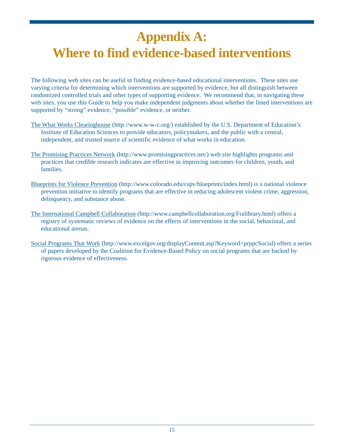## **Appendix A: Where to find evidence-based interventions**

The following web sites can be useful in finding evidence-based educational interventions. These sites use varying criteria for determining which interventions are supported by evidence, but all distinguish between randomized controlled trials and other types of supporting evidence. We recommend that, in navigating these web sites, you use this Guide to help you make independent judgments about whether the listed interventions are supported by "strong" evidence, "possible" evidence, or neither.

- The What Works Clearinghouse (http://www.w-w-c.org/) established by the U.S. Department of Education's Institute of Education Sciences to provide educators, policymakers, and the public with a central, independent, and trusted source of scientific evidence of what works in education.
- The Promising Practices Network (http://www.promisingpractices.net/) web site highlights programs and practices that credible research indicates are effective in improving outcomes for children, youth, and families.
- Blueprints for Violence Prevention (http://www.colorado.edu/cspv/blueprints/index.html) is a national violence prevention initiative to identify programs that are effective in reducing adolescent violent crime, aggression, delinquency, and substance abuse.
- The International Campbell Collaboration (http://www.campbellcollaboration.org/Fralibrary.html) offers a registry of systematic reviews of evidence on the effects of interventions in the social, behavioral, and educational arenas.
- Social Programs That Work (http://www.excelgov.org/displayContent.asp?Keyword=prppcSocial) offers a series of papers developed by the Coalition for Evidence-Based Policy on social programs that are backed by rigorous evidence of effectiveness.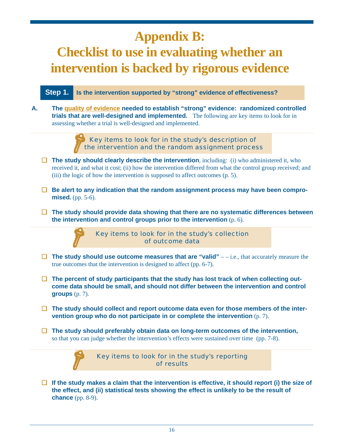## **Appendix B: Checklist to use in evaluating whether an intervention is backed by rigorous evidence**

- **Step 1. Is the intervention supported by "strong" evidence of effectiveness?**
- **A. The quality of evidence needed to establish "strong" evidence: randomized controlled trials that are well-designed and implemented.** The following are key items to look for in assessing whether a trial is well-designed and implemented.

Key items to look for in the study's description of the intervention and the random assignment process

- ❑ **The study should clearly describe the intervention**, including: (i) who administered it, who received it, and what it cost; (ii) how the intervention differed from what the control group received; and (iii) the logic of how the intervention is supposed to affect outcomes (p. 5).
- ❑ **Be alert to any indication that the random assignment process may have been compromised.** (pp. 5-6).
- ❑ **The study should provide data showing that there are no systematic differences between the intervention and control groups prior to the intervention** (p. 6).



Key items to look for in the study's collection of outcome data

- ❑ **The study should use outcome measures that are "valid"**  – i.e., that accurately measure the true outcomes that the intervention is designed to affect (pp. 6-7).
- ❑ **The percent of study participants that the study has lost track of when collecting outcome data should be small, and should not differ between the intervention and control groups** (p. 7).
- ❑ **The study should collect and report outcome data even for those members of the intervention group who do not participate in or complete the intervention** (p. 7).
- ❑ **The study should preferably obtain data on long-term outcomes of the intervention,** so that you can judge whether the intervention's effects were sustained over time (pp. 7-8).



Key items to look for in the study's reporting of results

❑ **If the study makes a claim that the intervention is effective, it should report (i) the size of the effect, and (ii) statistical tests showing the effect is unlikely to be the result of chance** (pp. 8-9).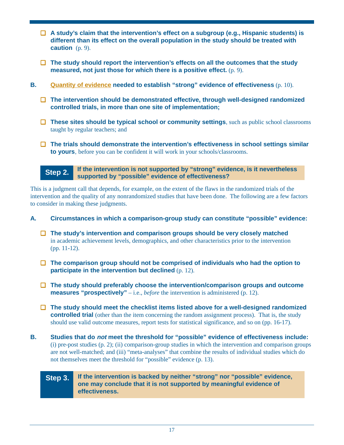- ❑ **A study's claim that the intervention's effect on a subgroup (e.g., Hispanic students) is different than its effect on the overall population in the study should be treated with caution** (p. 9).
- ❑ **The study should report the intervention's effects on all the outcomes that the study measured, not just those for which there is a positive effect.** (p. 9).
- **B. Quantity of evidence needed to establish "strong" evidence of effectiveness** (p. 10).
	- ❑ **The intervention should be demonstrated effective, through well-designed randomized controlled trials, in more than one site of implementation;**
	- ❑ **These sites should be typical school or community settings**, such as public school classrooms taught by regular teachers; and
	- ❑ **The trials should demonstrate the intervention's effectiveness in school settings similar to yours**, before you can be confident it will work in your schools/classrooms.

This is a judgment call that depends, for example, on the extent of the flaws in the randomized trials of the intervention and the quality of any nonrandomized studies that have been done. The following are a few factors to consider in making these judgments.

- **A. Circumstances in which a comparison-group study can constitute "possible" evidence:**
	- ❑ **The study's intervention and comparison groups should be very closely matched** in academic achievement levels, demographics, and other characteristics prior to the intervention (pp. 11-12).
	- ❑ **The comparison group should not be comprised of individuals who had the option to participate in the intervention but declined** (p. 12).
	- ❑ **The study should preferably choose the intervention/comparison groups and outcome measures "prospectively"** – i.e., *before* the intervention is administered (p. 12).
	- ❑ **The study should meet the checklist items listed above for a well-designed randomized controlled trial** (other than the item concerning the random assignment process). That is, the study should use valid outcome measures, report tests for statistical significance, and so on (pp. 16-17).
- **B. Studies that do not meet the threshold for "possible" evidence of effectiveness include:** (i) pre-post studies (p. 2); (ii) comparison-group studies in which the intervention and comparison groups are not well-matched; and (iii) "meta-analyses" that combine the results of individual studies which do not themselves meet the threshold for "possible" evidence (p. 13).

#### **If the intervention is backed by neither "strong" nor "possible" evidence, one may conclude that it is not supported by meaningful evidence of effectiveness. Step 3.**

**Step 2. If the intervention is not supported by "strong" evidence, is it nevertheless supported by "possible" evidence of effectiveness?**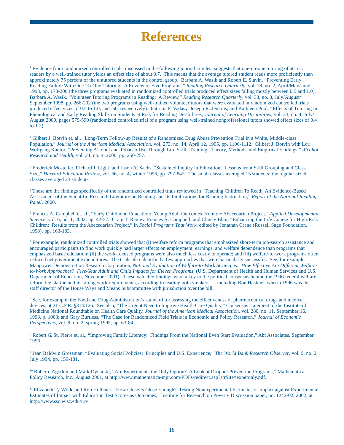## **References**

<sup>1</sup> Evidence from randomized controlled trials, discussed in the following journal articles, suggests that one-on-one tutoring of at-risk readers by a well-trained tutor yields an effect size of about 0.7. This means that the average tutored student reads more proficiently than approximately 75 percent of the untutored students in the control group. Barbara A. Wasik and Robert E. Slavin, "Preventing Early Reading Failure With One-To-One Tutoring: A Review of Five Programs," *Reading Research Quarterly*, vol. 28, no. 2, April/May/June 1993, pp. 178-200 (the three programs evaluated in randomized controlled trials produced effect sizes falling mostly between 0.5 and 1.0). Barbara A. Wasik, "Volunteer Tutoring Programs in Reading: A Review," *Reading Research Quarterly*, vol. 33, no. 3, July/August/ September 1998, pp. 266-292 (the two programs using well-trained volunteer tutors that were evaluated in randomized controlled trials produced effect sizes of 0.5 to 1.0, and .50, respectively). Patricia F. Vadasy, Joseph R. Jenkins, and Kathleen Pool, "Effects of Tutoring in Phonological and Early Reading Skills on Students at Risk for Reading Disabilities, *Journal of Learning Disabilities,* vol. 33, no. 4, July/ August 2000, pages 579-590 (randomized controlled trial of a program using well-trained nonprofessional tutors showed effect sizes of 0.4 to 1.2).

2 Gilbert J. Botvin et. al., "Long-Term Follow-up Results of a Randomized Drug Abuse Prevention Trial in a White, Middle-class Population," *Journal of the American Medical Association*, vol. 273, no. 14, April 12, 1995, pp. 1106-1112. Gilbert J. Botvin with Lori Wolfgang Kantor, "Preventing Alcohol and Tobacco Use Through Life Skills Training: Theory, Methods, and Empirical Findings," *Alcohol Research and Health,* vol. 24, no. 4, 2000, pp. 250-257.

<sup>3</sup> Frederick Mosteller, Richard J. Light, and Jason A. Sachs, "Sustained Inquiry in Education: Lessons from Skill Grouping and Class Size," *Harvard Education Review*, vol. 66, no. 4, winter 1996, pp. 797-842. The small classes averaged 15 students; the regular-sized classes averaged 23 students.

4 These are the findings specifically of the randomized controlled trials reviewed in "Teaching Children To Read: An Evidence-Based Assessment of the Scientific Research Literature on Reading and Its Implications for Reading Instruction," *Report of the National Reading Panel*, 2000.

5 Frances A. Campbell et. al., "Early Childhood Education: Young Adult Outcomes From the Abecedarian Project," *Applied Developmental Science*, vol. 6, no. 1, 2002, pp. 42-57. Craig T. Ramey, Frances A. Campbell, and Clancy Blair, "Enhancing the Life Course for High-Risk Children: Results from the Abecedarian Project," in *Social Programs That Work*, edited by Jonathan Crane (Russell Sage Foundation, 1998), pp. 163-183.

6 For example, randomized controlled trials showed that (i) welfare reform programs that emphasized short-term job-search assistance and encouraged participants to find work quickly had larger effects on employment, earnings, and welfare dependence than programs that emphasized basic education; (ii) the work-focused programs were also much less costly to operate; and (iii) welfare-to-work programs often reduced net government expenditures. The trials also identified a few approaches that were particularly successful. See, for example, Manpower Demonstration Research Corporation, *National Evaluation of Welfare-to-Work Strategies: How Effective Are Different Welfareto-Work Approaches? Five-Year Adult and Child Impacts for Eleven Programs* (U.S. Department of Health and Human Services and U.S. Department of Education, November 2001). These valuable findings were a key to the political consensus behind the 1996 federal welfare reform legislation and its strong work requirements, according to leading policymakers — including Ron Haskins, who in 1996 was the staff director of the House Ways and Means Subcommittee with jurisdiction over the bill.

<sup>7</sup> See, for example, the Food and Drug Administration's standard for assessing the effectiveness of pharmaceutical drugs and medical devices, at 21 C.F.R. §314.126. See also, "The Urgent Need to Improve Health Care Quality," Consensus statement of the Institute of Medicine National Roundtable on Health Care Quality, *Journal of the American Medical Association*, vol. 280, no. 11, September 16, 1998, p. 1003; and Gary Burtless, "The Case for Randomized Field Trials in Economic and Policy Research," *Journal of Economic Perspectives*, vol. 9, no. 2, spring 1995, pp. 63-84.

8 Robert G. St. Pierre et. al., "Improving Family Literacy: Findings From the National Even Start Evaluation," Abt Associates, September 1996.

9 Jean Baldwin Grossman, "Evaluating Social Policies: Principles and U.S. Experience," *The World Bank Research Observer*, vol. 9, no. 2, July 1994, pp. 159-181.

10 Roberto Agodini and Mark Dynarski, "Are Experiments the Only Option? A Look at Dropout Prevention Programs," Mathematica Policy Research, Inc., August 2001, at http://www.mathematica-mpr.com/PDFs/redirect.asp?strSite=experonly.pdf.

11 Elizabeth Ty Wilde and Rob Hollister, "How Close Is Close Enough? Testing Nonexperimental Estimates of Impact against Experimental Estimates of Impact with Education Test Scores as Outcomes," Institute for Research on Poverty Discussion paper, no. 1242-02, 2002, at http://www.ssc.wisc.edu/irp/.